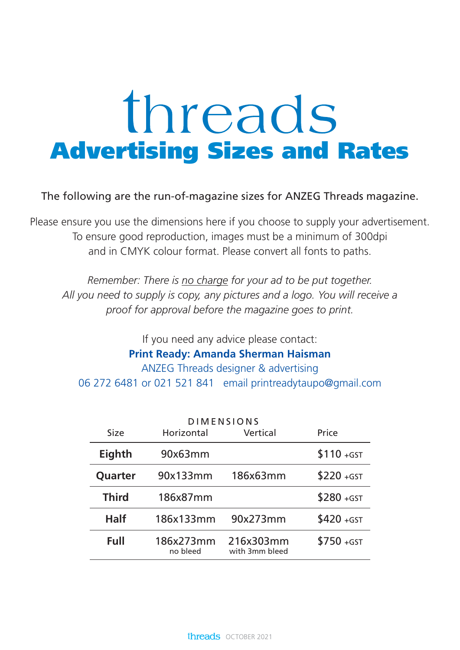## threads **Advertising Sizes and Rates**

The following are the run-of-magazine sizes for ANZEG Threads magazine.

Please ensure you use the dimensions here if you choose to supply your advertisement. To ensure good reproduction, images must be a minimum of 300dpi and in CMYK colour format. Please convert all fonts to paths.

*Remember: There is no charge for your ad to be put together. All you need to supply is copy, any pictures and a logo. You will receive a proof for approval before the magazine goes to print.*

If you need any advice please contact: **Print Ready: Amanda Sherman Haisman** ANZEG Threads designer & advertising 06 272 6481 or 021 521 841 email printreadytaupo@gmail.com

| <b>DIMENSIONS</b> |                       |                             |              |  |
|-------------------|-----------------------|-----------------------------|--------------|--|
| <b>Size</b>       | Horizontal            | Vertical                    | Price        |  |
| <b>Eighth</b>     | 90x63mm               |                             | $$110 + GST$ |  |
| Quarter           | 90x133mm              | 186x63mm                    | $$220 + GST$ |  |
| <b>Third</b>      | 186x87mm              |                             | $$280 + GST$ |  |
| <b>Half</b>       | 186x133mm             | 90x273mm                    | $$420 + GST$ |  |
| Full              | 186x273mm<br>no bleed | 216x303mm<br>with 3mm bleed | $$750 + GST$ |  |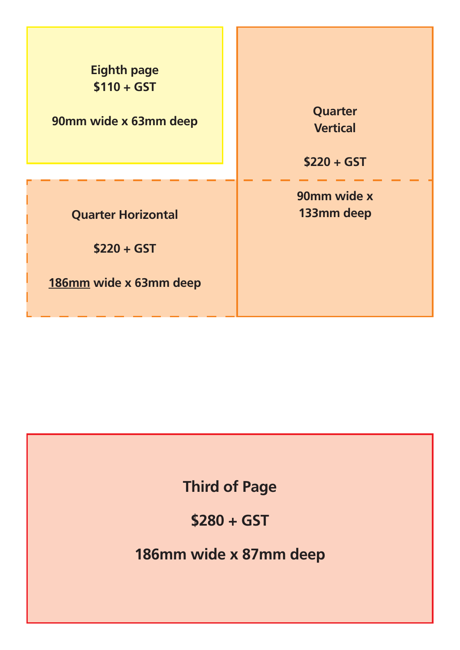| <b>Eighth page</b>        | Quarter         |
|---------------------------|-----------------|
| $$110 + GST$              | <b>Vertical</b> |
| 90mm wide x 63mm deep     | $$220 + GST$    |
| <b>Quarter Horizontal</b> | 90mm wide x     |
| $$220 + GST$              | 133mm deep      |
| 186mm wide x 63mm deep    |                 |

## **Third of Page**

**\$280 + GST**

**186mm wide x 87mm deep**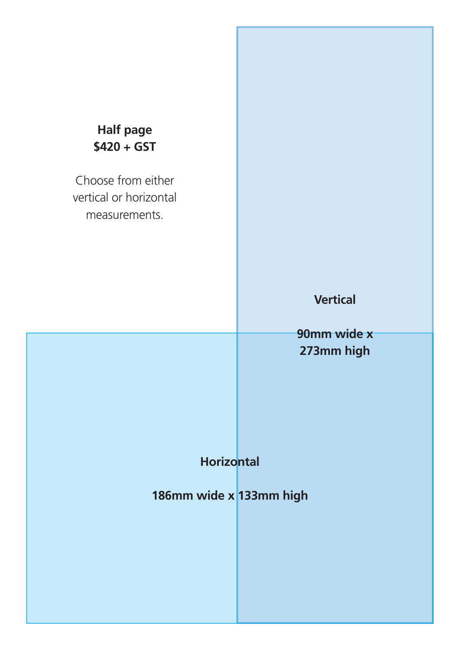